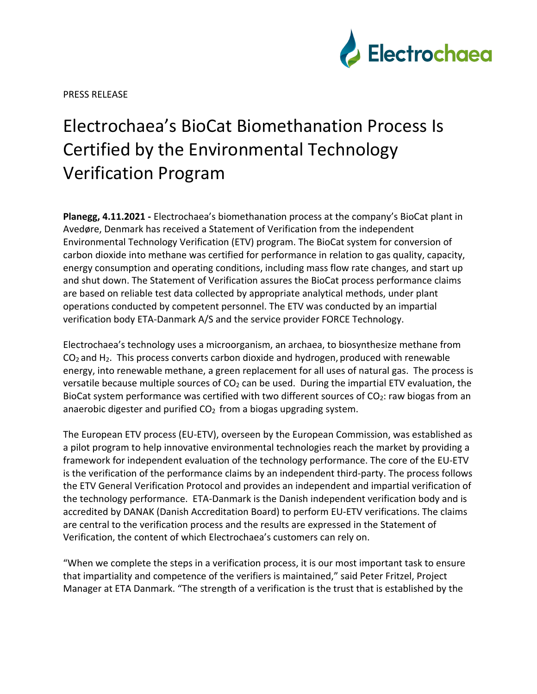

PRESS RELEASE

## Electrochaea's BioCat Biomethanation Process Is Certified by the Environmental Technology Verification Program

**Planegg, 4.11.2021 -** Electrochaea's biomethanation process at the company's BioCat plant in Avedøre, Denmark has received a Statement of Verification from the independent Environmental Technology Verification (ETV) program. The BioCat system for conversion of carbon dioxide into methane was certified for performance in relation to gas quality, capacity, energy consumption and operating conditions, including mass flow rate changes, and start up and shut down. The Statement of Verification assures the BioCat process performance claims are based on reliable test data collected by appropriate analytical methods, under plant operations conducted by competent personnel. The ETV was conducted by an impartial verification body ETA-Danmark A/S and the service provider FORCE Technology.

Electrochaea's technology uses a microorganism, an archaea, to biosynthesize methane from CO2 and H2. This process converts carbon dioxide and hydrogen, produced with renewable energy, into renewable methane, a green replacement for all uses of natural gas. The process is versatile because multiple sources of  $CO<sub>2</sub>$  can be used. During the impartial ETV evaluation, the BioCat system performance was certified with two different sources of  $CO<sub>2</sub>$ : raw biogas from an anaerobic digester and purified  $CO<sub>2</sub>$  from a biogas upgrading system.

The European ETV process (EU-ETV), overseen by the European Commission, was established as a pilot program to help innovative environmental technologies reach the market by providing a framework for independent evaluation of the technology performance. The core of the EU-ETV is the verification of the performance claims by an independent third-party. The process follows the ETV General Verification Protocol and provides an independent and impartial verification of the technology performance. ETA-Danmark is the Danish independent verification body and is accredited by DANAK (Danish Accreditation Board) to perform EU-ETV verifications. The claims are central to the verification process and the results are expressed in the Statement of Verification, the content of which Electrochaea's customers can rely on.

"When we complete the steps in a verification process, it is our most important task to ensure that impartiality and competence of the verifiers is maintained," said Peter Fritzel, Project Manager at ETA Danmark. "The strength of a verification is the trust that is established by the